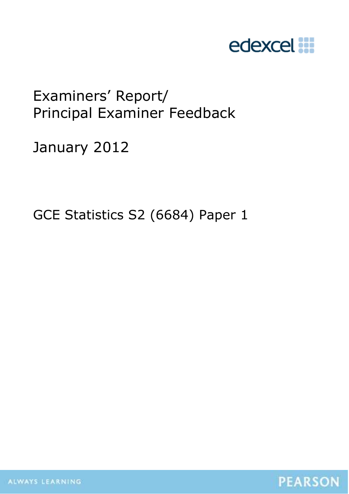

# Examiners' Report/ Principal Examiner Feedback

January 2012

GCE Statistics S2 (6684) Paper 1



ALWAYS LEARNING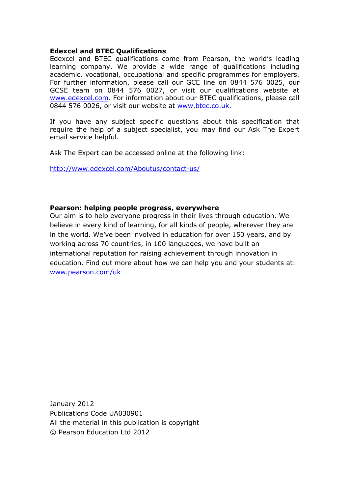## **Edexcel and BTEC Qualifications**

Edexcel and BTEC qualifications come from Pearson, the world's leading learning company. We provide a wide range of qualifications including academic, vocational, occupational and specific programmes for employers. For further information, please call our GCE line on 0844 576 0025, our GCSE team on 0844 576 0027, or visit our qualifications website at www.edexcel.com. For information about our BTEC qualifications, please call 0844 576 0026, or visit our website at www.btec.co.uk.

If you have any subject specific questions about this specification that require the help of a subject specialist, you may find our Ask The Expert email service helpful.

Ask The Expert can be accessed online at the following link:

http://www.edexcel.com/Aboutus/contact-us/

## **Pearson: helping people progress, everywhere**

Our aim is to help everyone progress in their lives through education. We believe in every kind of learning, for all kinds of people, wherever they are in the world. We've been involved in education for over 150 years, and by working across 70 countries, in 100 languages, we have built an international reputation for raising achievement through innovation in education. Find out more about how we can help you and your students at: www.pearson.com/uk

January 2012 Publications Code UA030901 All the material in this publication is copyright © Pearson Education Ltd 2012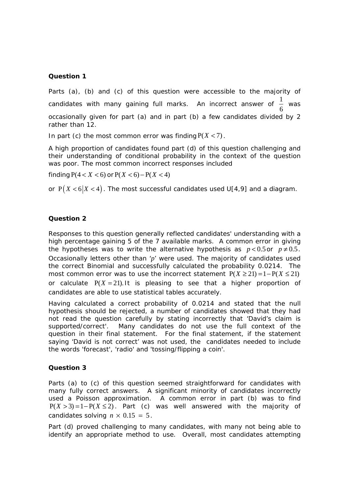### **Question 1**

Parts (a), (b) and (c) of this question were accessible to the majority of candidates with many gaining full marks. An incorrect answer of  $\frac{1}{2}$ 6 was occasionally given for part (a) and in part (b) a few candidates divided by 2 rather than 12.

In part (c) the most common error was finding  $P(X < 7)$ .

A high proportion of candidates found part (d) of this question challenging and their understanding of conditional probability in the context of the question was poor. The most common incorrect responses included

finding  $P(4 < X < 6)$  or  $P(X < 6) - P(X < 4)$ 

or  $P(X < 6 | X < 4)$ . The most successful candidates used U[4,9] and a diagram.

#### **Question 2**

Responses to this question generally reflected candidates' understanding with a high percentage gaining 5 of the 7 available marks. A common error in giving the hypotheses was to write the alternative hypothesis as  $p < 0.5$  or  $p \neq 0.5$ . Occasionally letters other than '*p*' were used. The majority of candidates used the correct Binomial and successfully calculated the probability 0.0214. The most common error was to use the incorrect statement  $P(X \ge 2I) = I - P(X \le 2I)$ or calculate  $P(X = 21)$ . It is pleasing to see that a higher proportion of candidates are able to use statistical tables accurately.

Having calculated a correct probability of 0.0214 and stated that the null hypothesis should be rejected, a number of candidates showed that they had not read the question carefully by stating incorrectly that 'David's claim is supported/correct'. Many candidates do not use the full context of the question in their final statement. For the final statement, if the statement saying 'David is not correct' was not used, the candidates needed to include the words 'forecast', 'radio' and 'tossing/flipping a coin'.

#### **Question 3**

Parts (a) to (c) of this question seemed straightforward for candidates with many fully correct answers. A significant minority of candidates incorrectly used a Poisson approximation. A common error in part (b) was to find  $P(X > 3) = 1 - P(X \le 2)$ . Part (c) was well answered with the majority of candidates solving  $n \times 0.15 = 5$ .

Part (d) proved challenging to many candidates, with many not being able to identify an appropriate method to use. Overall, most candidates attempting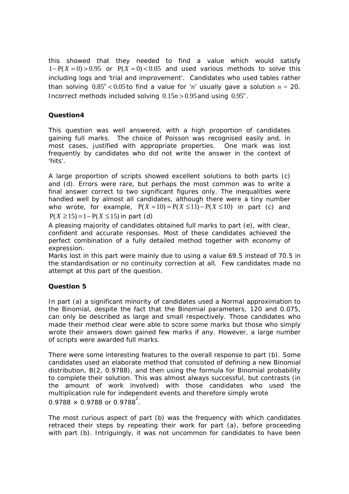this showed that they needed to find a value which would satisfy  $1 - P(X = 0) > 0.95$  or  $P(X = 0) < 0.05$  and used various methods to solve this including logs and 'trial and improvement'. Candidates who used tables rather than solving  $0.85<sup>n</sup> < 0.05$  to find a value for '*n*' usually gave a solution  $n = 20$ . Incorrect methods included solving  $0.15n > 0.95$  and using  $0.95^n$ .

## **Question4**

This question was well answered, with a high proportion of candidates gaining full marks. The choice of Poisson was recognised easily and, in most cases, justified with appropriate properties. One mark was lost frequently by candidates who did not write the answer in the context of 'hits'.

A large proportion of scripts showed excellent solutions to both parts (c) and (d). Errors were rare, but perhaps the most common was to write a final answer correct to two significant figures only. The inequalities were handled well by almost all candidates, although there were a tiny number who wrote, for example,  $P(X = 10) = P(X \le 11) - P(X \le 10)$  in part (c) and  $P(X \ge 15) = 1 - P(X \le 15)$  in part (d)

A pleasing majority of candidates obtained full marks to part (e), with clear, confident and accurate responses. Most of these candidates achieved the perfect combination of a fully detailed method together with economy of expression.

Marks lost in this part were mainly due to using a value 69.5 instead of 70.5 in the standardisation or no continuity correction at all. Few candidates made no attempt at this part of the question.

## **Question 5**

In part (a) a significant minority of candidates used a Normal approximation to the Binomial, despite the fact that the Binomial parameters, 120 and 0.075, can only be described as large and small respectively. Those candidates who made their method clear were able to score some marks but those who simply wrote their answers down gained few marks if any. However, a large number of scripts were awarded full marks.

There were some interesting features to the overall response to part (b). Some candidates used an elaborate method that consisted of defining a new Binomial distribution, B(2, 0.9788), and then using the formula for Binomial probability to complete their solution. This was almost always successful, but contrasts (in the amount of work involved) with those candidates who used the multiplication rule for independent events and therefore simply wrote 0.9788  $\times$  0.9788 or 0.9788 $^{2}$ .

The most curious aspect of part (b) was the frequency with which candidates retraced their steps by repeating their work for part (a), before proceeding with part (b). Intriguingly, it was not uncommon for candidates to have been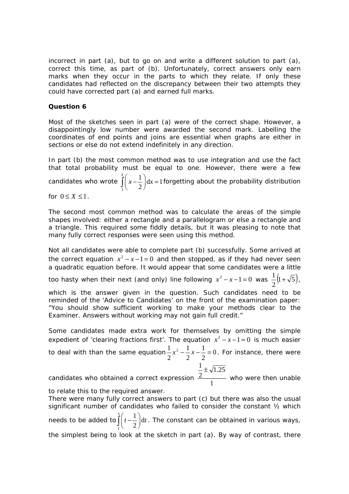incorrect in part (a), but to go on and write a different solution to part (a), correct this time, as part of (b). Unfortunately, correct answers only earn marks when they occur in the parts to which they relate. If only these candidates had reflected on the discrepancy between their two attempts they could have corrected part (a) and earned full marks.

### **Question 6**

Most of the sketches seen in part (a) were of the correct shape. However, a disappointingly low number were awarded the second mark. Labelling the coordinates of end points and joins are essential when graphs are either in sections or else do not extend indefinitely in any direction.

In part (b) the most common method was to use integration and use the fact that total probability must be equal to one. However, there were a few candidates who wrote 1  $\frac{1}{x}$  dx = 1 2 *k*  $\int_{1}^{x} \left(x - \frac{1}{2}\right) dx = 1$  forgetting about the probability distribution for  $0 \leq X \leq 1$ .

The second most common method was to calculate the areas of the simple shapes involved: either a rectangle and a parallelogram or else a rectangle and a triangle. This required some fiddly details, but it was pleasing to note that many fully correct responses were seen using this method.

Not all candidates were able to complete part (b) successfully. Some arrived at the correct equation  $x^2 - x - 1 = 0$  and then stopped, as if they had never seen a quadratic equation before. It would appear that some candidates were a little

too hasty when their next (and only) line following  $x^2 - x - 1 = 0$  was  $\frac{1}{2} (1 + \sqrt{5})$ 2  $\frac{1}{2}(1+\sqrt{5})$ ,

which is the answer given in the question. Such candidates need to be reminded of the 'Advice to Candidates' on the front of the examination paper: "You should show sufficient working to make your methods clear to the Examiner. Answers without working may not gain full credit."

Some candidates made extra work for themselves by omitting the simple expedient of 'clearing fractions first'. The equation  $x^2 - x - 1 = 0$  is much easier

to deal with than the same equation $\frac{1}{2}x^2 - \frac{1}{2}x - \frac{1}{2} = 0$ 2 1 2 1 2  $\frac{1}{2}x^2 - \frac{1}{2}x - \frac{1}{2} = 0$ . For instance, there were

> 1.25 2  $\frac{1}{2}$   $\pm$

candidates who obtained a correct expression  $\frac{2}{1}$ who were then unable

to relate this to the required answer.

There were many fully correct answers to part (c) but there was also the usual significant number of candidates who failed to consider the constant ½ which needs to be added to 1  $\frac{1}{a}$  d 2 *x*  $\int_{1}^{x}\left(t-\frac{1}{2}\right)dt$ . The constant can be obtained in various ways, the simplest being to look at the sketch in part (a). By way of contrast, there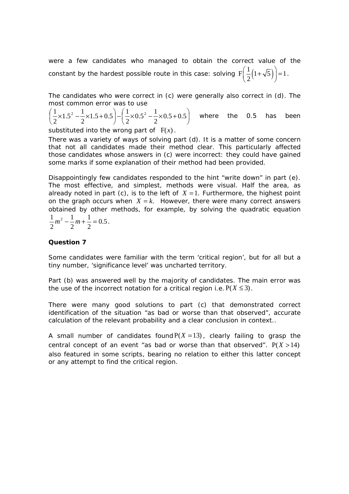were a few candidates who managed to obtain the correct value of the constant by the hardest possible route in this case: solving  $\mathrm{F} \biggl( \frac{1}{2} \bigl( 1 + \sqrt{5} \bigr) \biggl) = 1$ .

The candidates who were correct in (c) were generally also correct in (d). The most common error was to use

$$
\left(\frac{1}{2} \times 1.5^2 - \frac{1}{2} \times 1.5 + 0.5\right) - \left(\frac{1}{2} \times 0.5^2 - \frac{1}{2} \times 0.5 + 0.5\right)
$$
 where the 0.5 has been

substituted into the wrong part of  $F(x)$ .

There was a variety of ways of solving part (d). It is a matter of some concern that not all candidates made their method clear. This particularly affected those candidates whose answers in (c) were incorrect: they could have gained some marks if some explanation of their method had been provided.

Disappointingly few candidates responded to the hint "write down" in part (e). The most effective, and simplest, methods were visual. Half the area, as already noted in part (c), is to the left of  $X = 1$ . Furthermore, the highest point on the graph occurs when  $X = k$ . However, there were many correct answers obtained by other methods, for example, by solving the quadratic equation

$$
\frac{1}{2}m^2 - \frac{1}{2}m + \frac{1}{2} = 0.5
$$

#### **Question 7**

Some candidates were familiar with the term 'critical region', but for all but a tiny number, 'significance level' was uncharted territory.

Part (b) was answered well by the majority of candidates. The main error was the use of the incorrect notation for a critical region i.e.  $P(X \le 3)$ .

There were many good solutions to part (c) that demonstrated correct identification of the situation "as bad or worse than that observed", accurate calculation of the relevant probability and a clear conclusion in context..

A small number of candidates found  $P(X = 13)$ , clearly failing to grasp the central concept of an event "as bad or worse than that observed".  $P(X > 14)$ also featured in some scripts, bearing no relation to either this latter concept or any attempt to find the critical region.